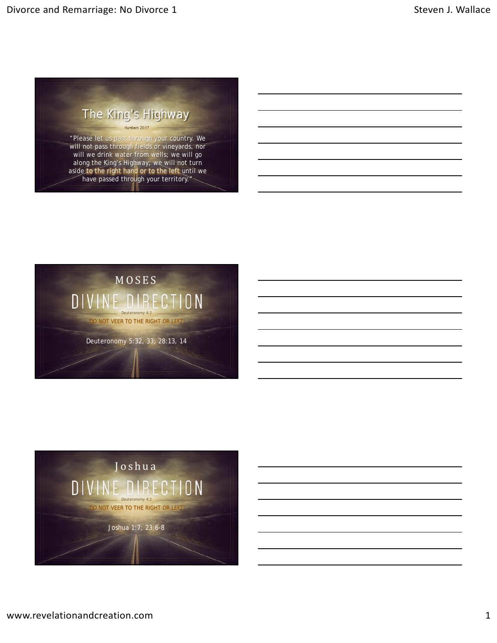

"Please let us pass through your country. We will not pass through fields or vineyards, nor will we drink water from wells; we will go along the King's Highway; we will not turn aside to the right hand or to the left until we have passed through your territory."



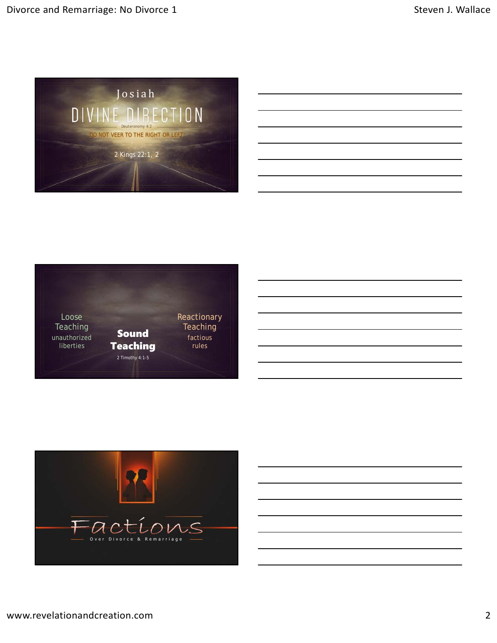



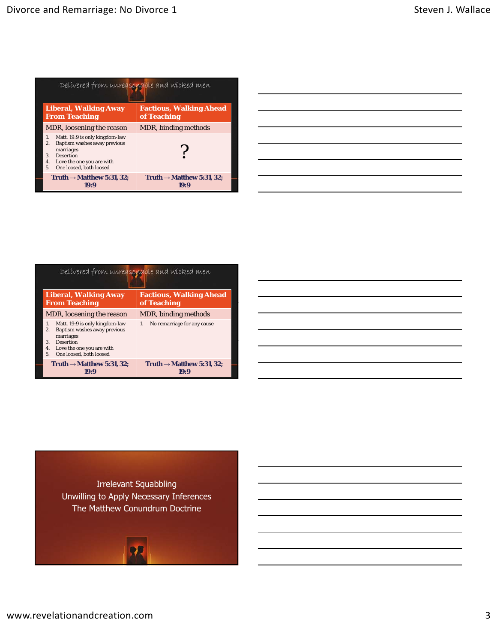| Delivered from unreasonable and wicked men                                                                                                                                                      |                                               |  |  |  |
|-------------------------------------------------------------------------------------------------------------------------------------------------------------------------------------------------|-----------------------------------------------|--|--|--|
| <b>Liberal, Walking Away</b><br><b>From Teaching</b>                                                                                                                                            | <b>Factious, Walking Ahead</b><br>of Teaching |  |  |  |
| MDR, loosening the reason                                                                                                                                                                       | MDR, binding <i>methods</i>                   |  |  |  |
| Matt. 19:9 is only kingdom-law<br>$\mathbf{1}$<br>Baptism washes away previous<br>2.<br>marriages<br><b>Desertion</b><br>3.<br>Love the one you are with<br>4.<br>One loosed, both loosed<br>5. |                                               |  |  |  |
| Truth $\rightarrow$ Matthew 5:31, 32;<br>19:9                                                                                                                                                   | Truth $\rightarrow$ Matthew 5:31, 32;<br>19:9 |  |  |  |

| <u> 1989 - Andrea Andrew Maria (h. 1989).</u> |                                                                                                                        |  |  |
|-----------------------------------------------|------------------------------------------------------------------------------------------------------------------------|--|--|
|                                               | <u> 1989 - Johann Stoff, amerikansk politiker (d. 1989)</u>                                                            |  |  |
|                                               | <u> 1989 - Andrea Andrew Maria (h. 1989).</u>                                                                          |  |  |
|                                               | <u> 1989 - Andrea Andrew Maria (h. 1989).</u>                                                                          |  |  |
|                                               | <u> 1989 - Andrea Andrew Maria (h. 1989).</u>                                                                          |  |  |
|                                               | <u> 1989 - Johann Barn, mars ann an t-Amhainn an t-Amhainn an t-Amhainn an t-Amhainn an t-Amhainn an t-Amhainn an </u> |  |  |
|                                               |                                                                                                                        |  |  |

| Delivered from unreasonable and wicked men                                                                                                                                           |                                               |  |  |  |
|--------------------------------------------------------------------------------------------------------------------------------------------------------------------------------------|-----------------------------------------------|--|--|--|
| <b>Liberal, Walking Away</b><br><b>From Teaching</b>                                                                                                                                 | <b>Factious, Walking Ahead</b><br>of Teaching |  |  |  |
| MDR, loosening the reason                                                                                                                                                            | MDR, binding methods                          |  |  |  |
| Matt. 19:9 is only kingdom-law<br>1.<br>Baptism washes away previous<br>2.<br>marriages<br><b>Desertion</b><br>3<br>Love the one you are with<br>4.<br>One loosed, both loosed<br>5. | No remarriage for any cause<br>1.             |  |  |  |
| Truth $\rightarrow$ Matthew 5:31, 32;<br>1939                                                                                                                                        | Truth $\rightarrow$ Matthew 5:31, 32;<br>ដេជា |  |  |  |



Irrelevant Squabbling Unwilling to Apply Necessary Inferences The Matthew Conundrum Doctrine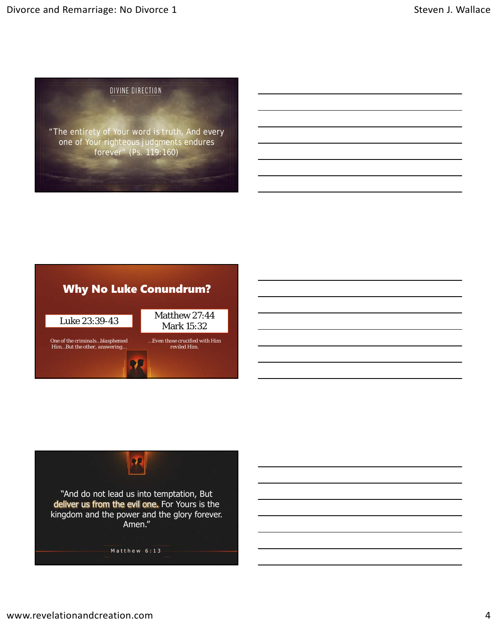